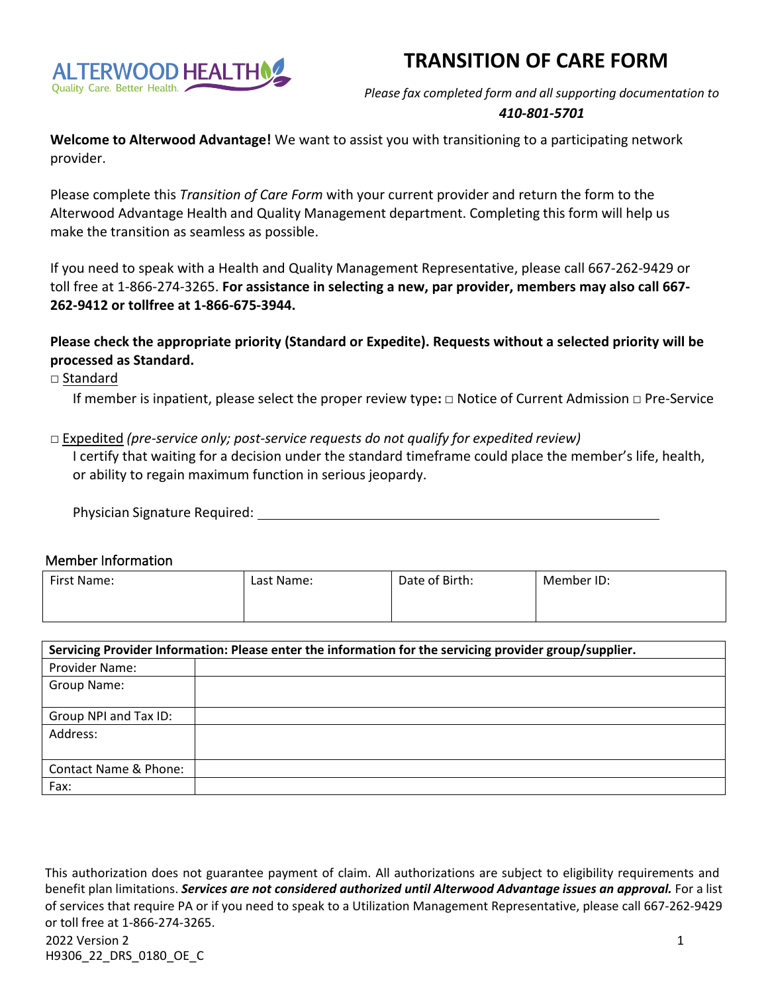# **TRANSITION OF CARE FORM**



*Please fax completed form and all supporting documentation to*

## *410-801-5701*

**Welcome to Alterwood Advantage!** We want to assist you with transitioning to a participating network provider.

Please complete this *Transition of Care Form* with your current provider and return the form to the Alterwood Advantage Health and Quality Management department. Completing this form will help us make the transition as seamless as possible.

If you need to speak with a Health and Quality Management Representative, please call 667-262-9429 or toll free at 1- 866-274-3265. **For assistance in selecting a new, par provider, members may also call 667- 262-9412 or tollfree at 1-866-675-3944.**

**Please check the appropriate priority (Standard or Expedite). Requests without a selected priority will be processed as Standard.**

□ Standard

If member is inpatient, please select the proper review type**:** □ Notice of Current Admission □ Pre-Service

#### □ Expedited *(pre-service only; post-service requests do not qualify for expedited review)*

I certify that waiting for a decision under the standard timeframe could place the member's life, health, or ability to regain maximum function in serious jeopardy.

| Physician Signature Required: |  |
|-------------------------------|--|
|                               |  |

#### Member Information

| First Name: | Last Name: | Date of Birth: | Member ID: |
|-------------|------------|----------------|------------|
|             |            |                |            |

| Servicing Provider Information: Please enter the information for the servicing provider group/supplier. |  |  |  |  |
|---------------------------------------------------------------------------------------------------------|--|--|--|--|
| Provider Name:                                                                                          |  |  |  |  |
| Group Name:                                                                                             |  |  |  |  |
| Group NPI and Tax ID:                                                                                   |  |  |  |  |
| Address:                                                                                                |  |  |  |  |
| Contact Name & Phone:                                                                                   |  |  |  |  |
| Fax:                                                                                                    |  |  |  |  |

This authorization does not guarantee payment of claim. All authorizations are subject to eligibility requirements and benefit plan limitations. *Services are not considered authorized until Alterwood Advantage issues an approval.* For a list of services that require PA or if you need to speak to a Utilization Management Representative, please call 667-262-9429 or toll free at 1-866-274-3265.